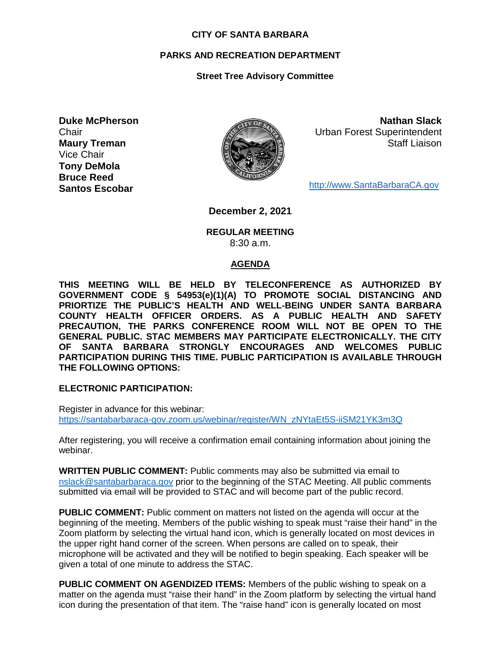### **CITY OF SANTA BARBARA**

## **PARKS AND RECREATION DEPARTMENT**

## **Street Tree Advisory Committee**

**Duke McPherson Chair Maury Treman** Vice Chair **Tony DeMola Bruce Reed Santos Escobar**



**Nathan Slack** Urban Forest Superintendent Staff Liaison

[http://www.SantaBarbaraCA.gov](http://www.santabarbaraca.gov/)

**December 2, 2021**

**REGULAR MEETING** 8:30 a.m.

### **AGENDA**

**THIS MEETING WILL BE HELD BY TELECONFERENCE AS AUTHORIZED BY GOVERNMENT CODE § 54953(e)(1)(A) TO PROMOTE SOCIAL DISTANCING AND PRIORTIZE THE PUBLIC'S HEALTH AND WELL-BEING UNDER SANTA BARBARA COUNTY HEALTH OFFICER ORDERS. AS A PUBLIC HEALTH AND SAFETY PRECAUTION, THE PARKS CONFERENCE ROOM WILL NOT BE OPEN TO THE GENERAL PUBLIC. STAC MEMBERS MAY PARTICIPATE ELECTRONICALLY. THE CITY OF SANTA BARBARA STRONGLY ENCOURAGES AND WELCOMES PUBLIC PARTICIPATION DURING THIS TIME. PUBLIC PARTICIPATION IS AVAILABLE THROUGH THE FOLLOWING OPTIONS:**

**ELECTRONIC PARTICIPATION:** 

Register in advance for this webinar: [https://santabarbaraca-gov.zoom.us/webinar/register/WN\\_zNYtaEt5S-iiSM21YK3m3Q](https://santabarbaraca-gov.zoom.us/webinar/register/WN_zNYtaEt5S-iiSM21YK3m3Q)

After registering, you will receive a confirmation email containing information about joining the webinar.

**WRITTEN PUBLIC COMMENT:** Public comments may also be submitted via email to [nslack@santabarbaraca.gov](mailto:nslack@santabarbaraca.gov) prior to the beginning of the STAC Meeting. All public comments submitted via email will be provided to STAC and will become part of the public record.

**PUBLIC COMMENT:** Public comment on matters not listed on the agenda will occur at the beginning of the meeting. Members of the public wishing to speak must "raise their hand" in the Zoom platform by selecting the virtual hand icon, which is generally located on most devices in the upper right hand corner of the screen. When persons are called on to speak, their microphone will be activated and they will be notified to begin speaking. Each speaker will be given a total of one minute to address the STAC.

**PUBLIC COMMENT ON AGENDIZED ITEMS:** Members of the public wishing to speak on a matter on the agenda must "raise their hand" in the Zoom platform by selecting the virtual hand icon during the presentation of that item. The "raise hand" icon is generally located on most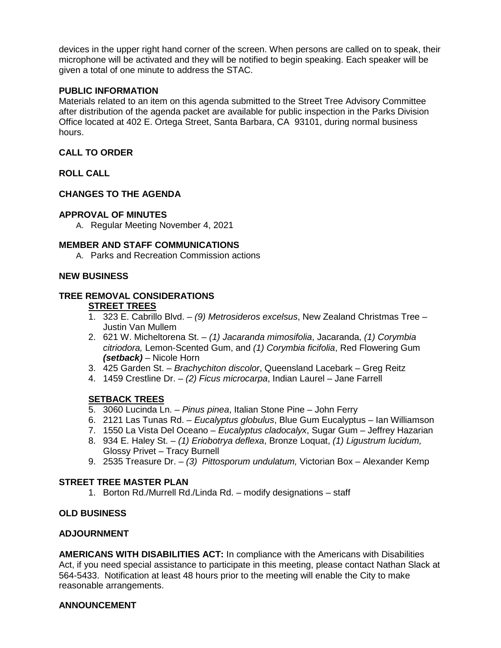devices in the upper right hand corner of the screen. When persons are called on to speak, their microphone will be activated and they will be notified to begin speaking. Each speaker will be given a total of one minute to address the STAC.

## **PUBLIC INFORMATION**

Materials related to an item on this agenda submitted to the Street Tree Advisory Committee after distribution of the agenda packet are available for public inspection in the Parks Division Office located at 402 E. Ortega Street, Santa Barbara, CA 93101, during normal business hours.

## **CALL TO ORDER**

**ROLL CALL**

## **CHANGES TO THE AGENDA**

### **APPROVAL OF MINUTES**

A. Regular Meeting November 4, 2021

### **MEMBER AND STAFF COMMUNICATIONS**

A. Parks and Recreation Commission actions

### **NEW BUSINESS**

# **TREE REMOVAL CONSIDERATIONS**

# **STREET TREES**

- 1. 323 E. Cabrillo Blvd. *(9) Metrosideros excelsus*, New Zealand Christmas Tree Justin Van Mullem
- 2. 621 W. Micheltorena St. *(1) Jacaranda mimosifolia*, Jacaranda, *(1) Corymbia citriodora,* Lemon-Scented Gum, and *(1) Corymbia ficifolia*, Red Flowering Gum *(setback)* – Nicole Horn
- 3. 425 Garden St. *Brachychiton discolor*, Queensland Lacebark Greg Reitz
- 4. 1459 Crestline Dr. *(2) Ficus microcarpa*, Indian Laurel Jane Farrell

# **SETBACK TREES**

- 5. 3060 Lucinda Ln. *Pinus pinea*, Italian Stone Pine John Ferry
- 6. 2121 Las Tunas Rd. *Eucalyptus globulus*, Blue Gum Eucalyptus Ian Williamson
- 7. 1550 La Vista Del Oceano *Eucalyptus cladocalyx*, Sugar Gum Jeffrey Hazarian
- 8. 934 E. Haley St. *(1) Eriobotrya deflexa*, Bronze Loquat, *(1) Ligustrum lucidum,* Glossy Privet – Tracy Burnell
- 9. 2535 Treasure Dr. *(3) Pittosporum undulatum,* Victorian Box Alexander Kemp

# **STREET TREE MASTER PLAN**

1. Borton Rd./Murrell Rd./Linda Rd. – modify designations – staff

### **OLD BUSINESS**

### **ADJOURNMENT**

**AMERICANS WITH DISABILITIES ACT:** In compliance with the Americans with Disabilities Act, if you need special assistance to participate in this meeting, please contact Nathan Slack at 564-5433. Notification at least 48 hours prior to the meeting will enable the City to make reasonable arrangements.

### **ANNOUNCEMENT**